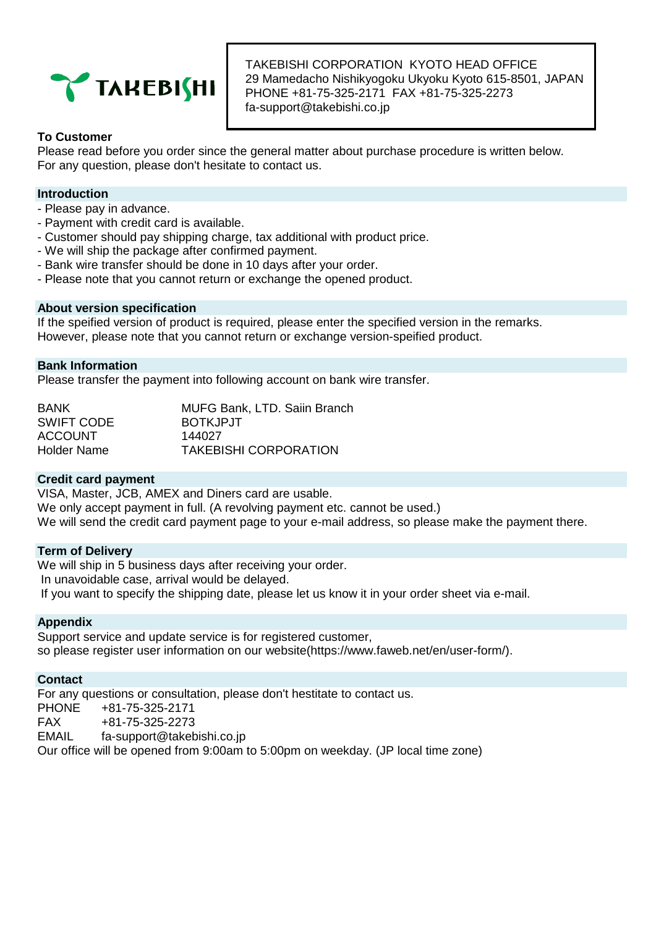

TAKEBISHI CORPORATION KYOTO HEAD OFFICE 29 Mamedacho Nishikyogoku Ukyoku Kyoto 615-8501, JAPAN PHONE +81-75-325-2171 FAX +81-75-325-2273 fa-support@takebishi.co.jp

## **To Customer**

Please read before you order since the general matter about purchase procedure is written below. For any question, please don't hesitate to contact us.

## **Introduction**

- Please pay in advance.
- Payment with credit card is available.
- Customer should pay shipping charge, tax additional with product price.
- We will ship the package after confirmed payment.
- Bank wire transfer should be done in 10 days after your order.
- Please note that you cannot return or exchange the opened product.

## **About version specification**

If the speified version of product is required, please enter the specified version in the remarks. However, please note that you cannot return or exchange version-speified product.

## **Bank Information**

Please transfer the payment into following account on bank wire transfer.

| <b>BANK</b>    | <b>MUFG Bank, LTD. Saiin Branch</b> |
|----------------|-------------------------------------|
| SWIFT CODE     | BOTKJPJT                            |
| <b>ACCOUNT</b> | 144027                              |
| Holder Name    | <b>TAKEBISHI CORPORATION</b>        |

## **Credit card payment**

VISA, Master, JCB, AMEX and Diners card are usable. We only accept payment in full. (A revolving payment etc. cannot be used.) We will send the credit card payment page to your e-mail address, so please make the payment there.

## **Term of Delivery**

We will ship in 5 business days after receiving your order. In unavoidable case, arrival would be delayed. If you want to specify the shipping date, please let us know it in your order sheet via e-mail.

## **Appendix**

Support service and update service is for registered customer. so please register user information on our website(https://www.faweb.net/en/user-form/).

## **Contact**

For any questions or consultation, please don't hestitate to contact us. PHONE +81-75-325-2171 FAX +81-75-325-2273 EMAIL fa-support@takebishi.co.jp Our office will be opened from 9:00am to 5:00pm on weekday. (JP local time zone)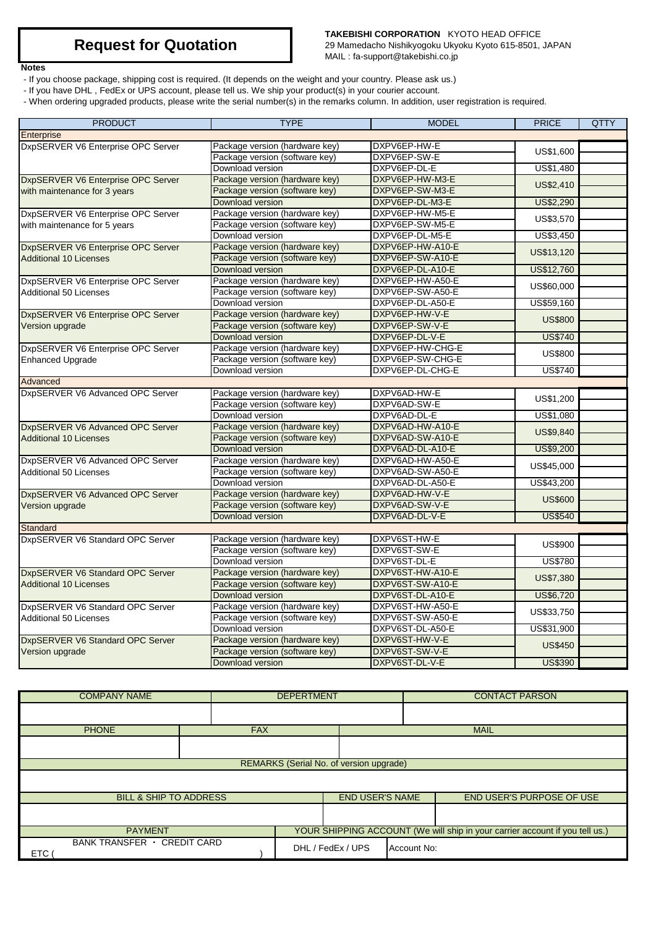#### **Notes**

## **TAKEBISHI CORPORATION** KYOTO HEAD OFFICE

29 Mamedacho Nishikyogoku Ukyoku Kyoto 615-8501, JAPAN MAIL : fa-support@takebishi.co.jp

- If you choose package, shipping cost is required. (It depends on the weight and your country. Please ask us.)
- If you have DHL , FedEx or UPS account, please tell us. We ship your product(s) in your courier account.
- When ordering upgraded products, please write the serial number(s) in the remarks column. In addition, user registration is required.

| <b>PRODUCT</b>                     | <b>TYPE</b>                    | <b>MODEL</b>     | <b>PRICE</b>   | <b>QTTY</b> |
|------------------------------------|--------------------------------|------------------|----------------|-------------|
| Enterprise                         |                                |                  |                |             |
| DxpSERVER V6 Enterprise OPC Server | Package version (hardware key) | DXPV6EP-HW-E     |                |             |
|                                    | Package version (software key) | DXPV6EP-SW-E     | US\$1,600      |             |
|                                    | Download version               | DXPV6EP-DL-E     | US\$1,480      |             |
| DxpSERVER V6 Enterprise OPC Server | Package version (hardware key) | DXPV6EP-HW-M3-E  |                |             |
| with maintenance for 3 years       | Package version (software key) | DXPV6EP-SW-M3-E  | US\$2,410      |             |
|                                    | Download version               | DXPV6EP-DL-M3-E  | US\$2,290      |             |
| DxpSERVER V6 Enterprise OPC Server | Package version (hardware key) | DXPV6EP-HW-M5-E  |                |             |
| with maintenance for 5 years       | Package version (software key) | DXPV6EP-SW-M5-E  | US\$3,570      |             |
|                                    | Download version               | DXPV6EP-DL-M5-E  | US\$3,450      |             |
| DxpSERVER V6 Enterprise OPC Server | Package version (hardware key) | DXPV6EP-HW-A10-E | US\$13,120     |             |
| <b>Additional 10 Licenses</b>      | Package version (software key) | DXPV6EP-SW-A10-E |                |             |
|                                    | Download version               | DXPV6EP-DL-A10-E | US\$12,760     |             |
| DxpSERVER V6 Enterprise OPC Server | Package version (hardware key) | DXPV6EP-HW-A50-E | US\$60,000     |             |
| <b>Additional 50 Licenses</b>      | Package version (software key) | DXPV6EP-SW-A50-E |                |             |
|                                    | Download version               | DXPV6EP-DL-A50-E | US\$59,160     |             |
| DxpSERVER V6 Enterprise OPC Server | Package version (hardware key) | DXPV6EP-HW-V-E   | <b>US\$800</b> |             |
| Version upgrade                    | Package version (software key) | DXPV6EP-SW-V-E   |                |             |
|                                    | Download version               | DXPV6EP-DL-V-E   | <b>US\$740</b> |             |
| DxpSERVER V6 Enterprise OPC Server | Package version (hardware key) | DXPV6EP-HW-CHG-E | <b>US\$800</b> |             |
| <b>Enhanced Upgrade</b>            | Package version (software key) | DXPV6EP-SW-CHG-E |                |             |
|                                    | Download version               | DXPV6EP-DL-CHG-E | <b>US\$740</b> |             |
| Advanced                           |                                |                  |                |             |
| DxpSERVER V6 Advanced OPC Server   | Package version (hardware key) | DXPV6AD-HW-E     | US\$1,200      |             |
|                                    | Package version (software key) | DXPV6AD-SW-E     |                |             |
|                                    | Download version               | DXPV6AD-DL-E     | US\$1,080      |             |
| DxpSERVER V6 Advanced OPC Server   | Package version (hardware key) | DXPV6AD-HW-A10-E | US\$9,840      |             |
| <b>Additional 10 Licenses</b>      | Package version (software key) | DXPV6AD-SW-A10-E |                |             |
|                                    | Download version               | DXPV6AD-DL-A10-E | US\$9,200      |             |
| DxpSERVER V6 Advanced OPC Server   | Package version (hardware key) | DXPV6AD-HW-A50-E | US\$45,000     |             |
| Additional 50 Licenses             | Package version (software key) | DXPV6AD-SW-A50-E |                |             |
|                                    | Download version               | DXPV6AD-DL-A50-E | US\$43,200     |             |
| DxpSERVER V6 Advanced OPC Server   | Package version (hardware key) | DXPV6AD-HW-V-E   | <b>US\$600</b> |             |
| Version upgrade                    | Package version (software key) | DXPV6AD-SW-V-E   |                |             |
|                                    | <b>Download version</b>        | DXPV6AD-DL-V-E   | <b>US\$540</b> |             |
| Standard                           |                                |                  |                |             |
| DxpSERVER V6 Standard OPC Server   | Package version (hardware key) | DXPV6ST-HW-E     | <b>US\$900</b> |             |
|                                    | Package version (software key) | DXPV6ST-SW-E     |                |             |
|                                    | Download version               | DXPV6ST-DL-E     | <b>US\$780</b> |             |
| DxpSERVER V6 Standard OPC Server   | Package version (hardware key) | DXPV6ST-HW-A10-E | US\$7,380      |             |
| <b>Additional 10 Licenses</b>      | Package version (software key) | DXPV6ST-SW-A10-E |                |             |
|                                    | Download version               | DXPV6ST-DL-A10-E | US\$6,720      |             |
| DxpSERVER V6 Standard OPC Server   | Package version (hardware key) | DXPV6ST-HW-A50-E | US\$33,750     |             |
| <b>Additional 50 Licenses</b>      | Package version (software key) | DXPV6ST-SW-A50-E |                |             |
|                                    | Download version               | DXPV6ST-DL-A50-E | US\$31,900     |             |
| DxpSERVER V6 Standard OPC Server   | Package version (hardware key) | DXPV6ST-HW-V-E   | <b>US\$450</b> |             |
| Version upgrade                    | Package version (software key) | DXPV6ST-SW-V-E   |                |             |
|                                    | Download version               | DXPV6ST-DL-V-E   | <b>US\$390</b> |             |

| <b>COMPANY NAME</b>                     |            | <b>DEPERTMENT</b> |                        |             | <b>CONTACT PARSON</b>                                                        |
|-----------------------------------------|------------|-------------------|------------------------|-------------|------------------------------------------------------------------------------|
|                                         |            |                   |                        |             |                                                                              |
| <b>PHONE</b>                            | <b>FAX</b> |                   |                        |             | <b>MAIL</b>                                                                  |
|                                         |            |                   |                        |             |                                                                              |
| REMARKS (Serial No. of version upgrade) |            |                   |                        |             |                                                                              |
|                                         |            |                   |                        |             |                                                                              |
| <b>BILL &amp; SHIP TO ADDRESS</b>       |            |                   | <b>END USER'S NAME</b> |             | END USER'S PURPOSE OF USE                                                    |
|                                         |            |                   |                        |             |                                                                              |
| <b>PAYMENT</b>                          |            |                   |                        |             | YOUR SHIPPING ACCOUNT (We will ship in your carrier account if you tell us.) |
| BANK TRANSFER · CREDIT CARD<br>ETC      |            |                   | DHL / FedEx / UPS      | Account No: |                                                                              |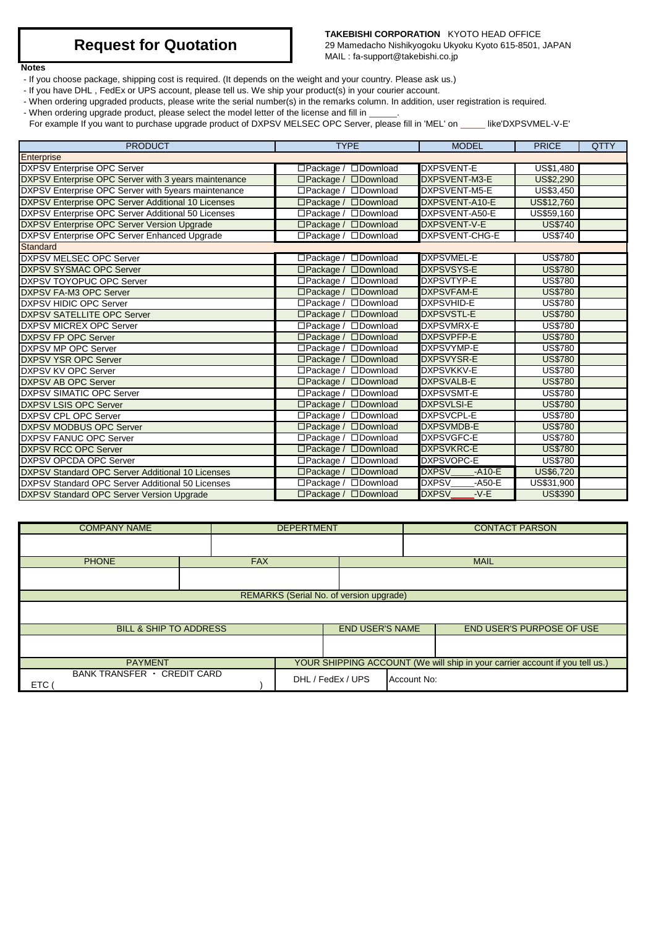### **TAKEBISHI CORPORATION** KYOTO HEAD OFFICE

29 Mamedacho Nishikyogoku Ukyoku Kyoto 615-8501, JAPAN MAIL : fa-support@takebishi.co.jp

## **Notes**

- If you choose package, shipping cost is required. (It depends on the weight and your country. Please ask us.)
- If you have DHL , FedEx or UPS account, please tell us. We ship your product(s) in your courier account.
- When ordering upgraded products, please write the serial number(s) in the remarks column. In addition, user registration is required.
- When ordering upgrade product, please select the model letter of the license and fill in \_\_\_\_\_.

For example If you want to purchase upgrade product of DXPSV MELSEC OPC Server, please fill in 'MEL' on \_\_\_\_\_ like'DXPSVMEL-V-E'

| <b>PRODUCT</b>                                          | <b>TYPE</b>                            | <b>MODEL</b>                 | <b>PRICE</b>     | <b>QTTY</b> |
|---------------------------------------------------------|----------------------------------------|------------------------------|------------------|-------------|
| Enterprise                                              |                                        |                              |                  |             |
| <b>DXPSV Enterprise OPC Server</b>                      | □Download<br>$\Box$ Package /          | <b>DXPSVENT-E</b>            | US\$1,480        |             |
| DXPSV Enterprise OPC Server with 3 years maintenance    | $\Box$ Package /<br>□Download          | DXPSVENT-M3-E                | <b>US\$2,290</b> |             |
| DXPSV Enterprise OPC Server with 5years maintenance     | □Package / □Download                   | DXPSVENT-M5-E                | US\$3,450        |             |
| DXPSV Enterprise OPC Server Additional 10 Licenses      | □Package / □Download                   | DXPSVENT-A10-E               | US\$12,760       |             |
| DXPSV Enterprise OPC Server Additional 50 Licenses      | $\Box$ Package /<br><b>IDownload</b>   | DXPSVENT-A50-E               | US\$59,160       |             |
| DXPSV Enterprise OPC Server Version Upgrade             | $\Box$ Package /<br>$\square$ Download | <b>DXPSVENT-V-E</b>          | <b>US\$740</b>   |             |
| DXPSV Enterprise OPC Server Enhanced Upgrade            | □Package / □Download                   | DXPSVENT-CHG-E               | <b>US\$740</b>   |             |
| Standard                                                |                                        |                              |                  |             |
| DXPSV MELSEC OPC Server                                 | $\Box$ Package /<br>□Download          | <b>DXPSVMEL-E</b>            | <b>US\$780</b>   |             |
| <b>DXPSV SYSMAC OPC Server</b>                          | □Package / □Download                   | <b>DXPSVSYS-E</b>            | <b>US\$780</b>   |             |
| <b>IDXPSV TOYOPUC OPC Server</b>                        | $\Box$ Package /<br>□Download          | DXPSVTYP-E                   | <b>US\$780</b>   |             |
| DXPSV FA-M3 OPC Server                                  | □Package / □Download                   | <b>DXPSVFAM-E</b>            | <b>US\$780</b>   |             |
| <b>DXPSV HIDIC OPC Server</b>                           | □Package / □Download                   | <b>DXPSVHID-E</b>            | <b>US\$780</b>   |             |
| <b>DXPSV SATELLITE OPC Server</b>                       | $\Box$ Package /<br>$\square$ Download | <b>DXPSVSTL-E</b>            | <b>US\$780</b>   |             |
| <b>DXPSV MICREX OPC Server</b>                          | □Package / □Download                   | <b>DXPSVMRX-E</b>            | <b>US\$780</b>   |             |
| <b>DXPSV FP OPC Server</b>                              | □Package / □Download                   | <b>DXPSVPFP-E</b>            | <b>US\$780</b>   |             |
| <b>DXPSV MP OPC Server</b>                              | □Package / □Download                   | <b>DXPSVYMP-E</b>            | <b>US\$780</b>   |             |
| <b>DXPSV YSR OPC Server</b>                             | □Package / □Download                   | <b>DXPSVYSR-E</b>            | <b>US\$780</b>   |             |
| <b>DXPSV KV OPC Server</b>                              | $\Box$ Package /<br>□Download          | <b>DXPSVKKV-E</b>            | <b>US\$780</b>   |             |
| <b>DXPSV AB OPC Server</b>                              | $\Box$ Package /<br><b>ODownload</b>   | <b>DXPSVALB-E</b>            | <b>US\$780</b>   |             |
| <b>DXPSV SIMATIC OPC Server</b>                         | □Download<br>$\Box$ Package /          | <b>DXPSVSMT-E</b>            | <b>US\$780</b>   |             |
| <b>DXPSV LSIS OPC Server</b>                            | $\Box$ Package /<br>□Download          | <b>DXPSVLSI-E</b>            | <b>US\$780</b>   |             |
| <b>DXPSV CPL OPC Server</b>                             | □Package / □Download                   | <b>DXPSVCPL-E</b>            | <b>US\$780</b>   |             |
| <b>DXPSV MODBUS OPC Server</b>                          | $\Box$ Package /<br>□Download          | <b>DXPSVMDB-E</b>            | <b>US\$780</b>   |             |
| <b>DXPSV FANUC OPC Server</b>                           | $\Box$ Package /<br>□Download          | <b>DXPSVGFC-E</b>            | <b>US\$780</b>   |             |
| <b>DXPSV RCC OPC Server</b>                             | □Package / □Download                   | <b>DXPSVKRC-E</b>            | <b>US\$780</b>   |             |
| <b>DXPSV OPCDA OPC Server</b>                           | $\Box$ Package /<br>□Download          | <b>DXPSVOPC-E</b>            | <b>US\$780</b>   |             |
| <b>DXPSV Standard OPC Server Additional 10 Licenses</b> | □Package / □Download                   | <b>DXPSV</b><br>$-A10-E$     | US\$6,720        |             |
| DXPSV Standard OPC Server Additional 50 Licenses        | □Package / □Download                   | <b>DXPSV</b><br>$-$ A50 $-E$ | US\$31,900       |             |
| <b>DXPSV Standard OPC Server Version Upgrade</b>        | □Package / □Download                   | <b>DXPSV</b><br>$-V-E$       | <b>US\$390</b>   |             |

| <b>COMPANY NAME</b>                       |  | <b>DEPERTMENT</b> |  |                        |             | <b>CONTACT PARSON</b>                                                        |  |
|-------------------------------------------|--|-------------------|--|------------------------|-------------|------------------------------------------------------------------------------|--|
|                                           |  |                   |  |                        |             |                                                                              |  |
| <b>PHONE</b>                              |  | <b>FAX</b>        |  |                        | <b>MAIL</b> |                                                                              |  |
|                                           |  |                   |  |                        |             |                                                                              |  |
| REMARKS (Serial No. of version upgrade)   |  |                   |  |                        |             |                                                                              |  |
|                                           |  |                   |  |                        |             |                                                                              |  |
| <b>BILL &amp; SHIP TO ADDRESS</b>         |  |                   |  | <b>END USER'S NAME</b> |             | <b>END USER'S PURPOSE OF USE</b>                                             |  |
|                                           |  |                   |  |                        |             |                                                                              |  |
| <b>PAYMENT</b>                            |  |                   |  |                        |             | YOUR SHIPPING ACCOUNT (We will ship in your carrier account if you tell us.) |  |
| BANK TRANSFER · CREDIT CARD<br><b>ETC</b> |  |                   |  | DHL / FedEx / UPS      | Account No: |                                                                              |  |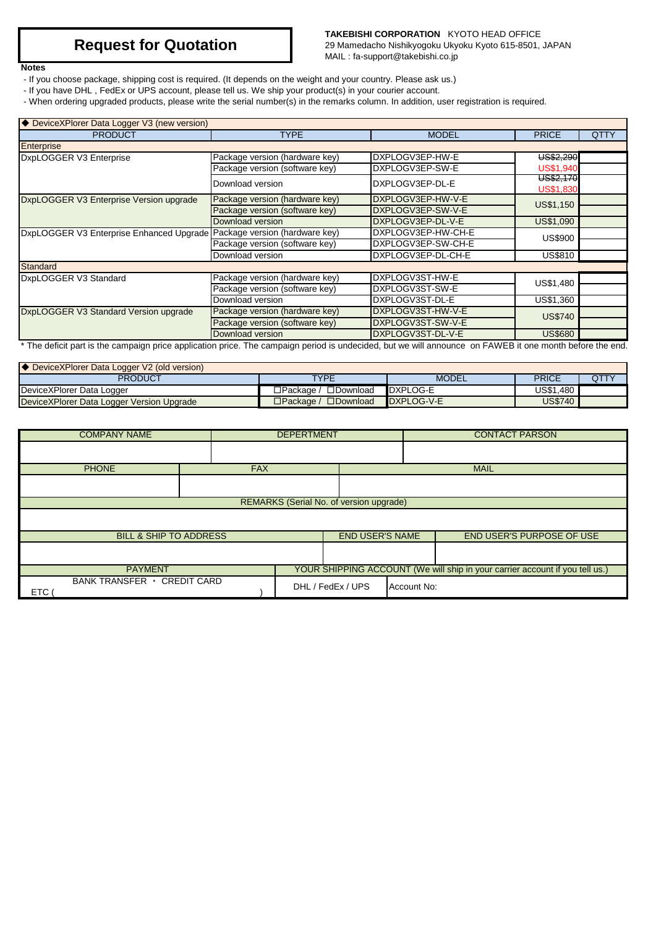#### **Notes**

## **TAKEBISHI CORPORATION** KYOTO HEAD OFFICE

29 Mamedacho Nishikyogoku Ukyoku Kyoto 615-8501, JAPAN MAIL : fa-support@takebishi.co.jp

- If you choose package, shipping cost is required. (It depends on the weight and your country. Please ask us.)
- If you have DHL , FedEx or UPS account, please tell us. We ship your product(s) in your courier account.
- When ordering upgraded products, please write the serial number(s) in the remarks column. In addition, user registration is required.

| ♦ DeviceXPlorer Data Logger V3 (new version)                                                                                                             |                                |                    |                               |             |
|----------------------------------------------------------------------------------------------------------------------------------------------------------|--------------------------------|--------------------|-------------------------------|-------------|
| <b>PRODUCT</b>                                                                                                                                           | <b>TYPE</b>                    | <b>MODEL</b>       | <b>PRICE</b>                  | <b>QTTY</b> |
| Enterprise                                                                                                                                               |                                |                    |                               |             |
| DxpLOGGER V3 Enterprise                                                                                                                                  | Package version (hardware key) | DXPLOGV3EP-HW-E    | US\$2,290                     |             |
|                                                                                                                                                          | Package version (software key) | DXPLOGV3EP-SW-E    | <b>US\$1,940</b>              |             |
|                                                                                                                                                          | Download version               | DXPLOGV3EP-DL-E    | US\$2,170<br><b>US\$1,830</b> |             |
| DxpLOGGER V3 Enterprise Version upgrade                                                                                                                  | Package version (hardware key) | DXPLOGV3EP-HW-V-E  | US\$1,150                     |             |
|                                                                                                                                                          | Package version (software key) | DXPLOGV3EP-SW-V-E  |                               |             |
|                                                                                                                                                          | Download version               | DXPLOGV3EP-DL-V-E  | US\$1,090                     |             |
| DxpLOGGER V3 Enterprise Enhanced Upgrade Package version (hardware key)                                                                                  |                                | DXPLOGV3EP-HW-CH-E | <b>US\$900</b>                |             |
|                                                                                                                                                          | Package version (software key) | DXPLOGV3EP-SW-CH-E |                               |             |
|                                                                                                                                                          | Download version               | DXPLOGV3EP-DL-CH-E | <b>US\$810</b>                |             |
| Standard                                                                                                                                                 |                                |                    |                               |             |
| DxpLOGGER V3 Standard                                                                                                                                    | Package version (hardware key) | DXPLOGV3ST-HW-E    | US\$1,480                     |             |
|                                                                                                                                                          | Package version (software key) | DXPLOGV3ST-SW-E    |                               |             |
|                                                                                                                                                          | Download version               | DXPLOGV3ST-DL-E    | US\$1,360                     |             |
| DxpLOGGER V3 Standard Version upgrade                                                                                                                    | Package version (hardware key) | DXPLOGV3ST-HW-V-E  | <b>US\$740</b>                |             |
|                                                                                                                                                          | Package version (software key) | DXPLOGV3ST-SW-V-E  |                               |             |
|                                                                                                                                                          | Download version               | DXPLOGV3ST-DL-V-E  | <b>US\$680</b>                |             |
| * The deficit part is the campaign price application price. The campaign period is undecided, but we will announce on FAWEB it one month before the end. |                                |                    |                               |             |

| O DeviceXPlorer Data Logger V2 (old version) |                                         |              |              |     |
|----------------------------------------------|-----------------------------------------|--------------|--------------|-----|
| <b>PRODUCT</b>                               | TYPE                                    | <b>MODEL</b> | <b>PRICE</b> | QTT |
| DeviceXPlorer Data Logger                    | $\square$ Download<br>⊒Packaαe /        | DXPLOG-E     | US\$1.480    |     |
| DeviceXPlorer Data Logger Version Upgrade    | $\square$ Download<br>⊒Packaɑe <i>i</i> | DXPLOG-V-E   | US\$740      |     |

| <b>COMPANY NAME</b>                       | <b>DEPERTMENT</b> |  |                                         |             | <b>CONTACT PARSON</b>                                                        |
|-------------------------------------------|-------------------|--|-----------------------------------------|-------------|------------------------------------------------------------------------------|
|                                           |                   |  |                                         |             |                                                                              |
| <b>PHONE</b>                              | <b>FAX</b>        |  |                                         |             | <b>MAIL</b>                                                                  |
|                                           |                   |  |                                         |             |                                                                              |
|                                           |                   |  | REMARKS (Serial No. of version upgrade) |             |                                                                              |
|                                           |                   |  |                                         |             |                                                                              |
| <b>BILL &amp; SHIP TO ADDRESS</b>         |                   |  | <b>END USER'S NAME</b>                  |             | <b>END USER'S PURPOSE OF USE</b>                                             |
|                                           |                   |  |                                         |             |                                                                              |
| <b>PAYMENT</b>                            |                   |  |                                         |             | YOUR SHIPPING ACCOUNT (We will ship in your carrier account if you tell us.) |
| BANK TRANSFER · CREDIT CARD<br><b>ETC</b> |                   |  | DHL / FedEx / UPS                       | Account No: |                                                                              |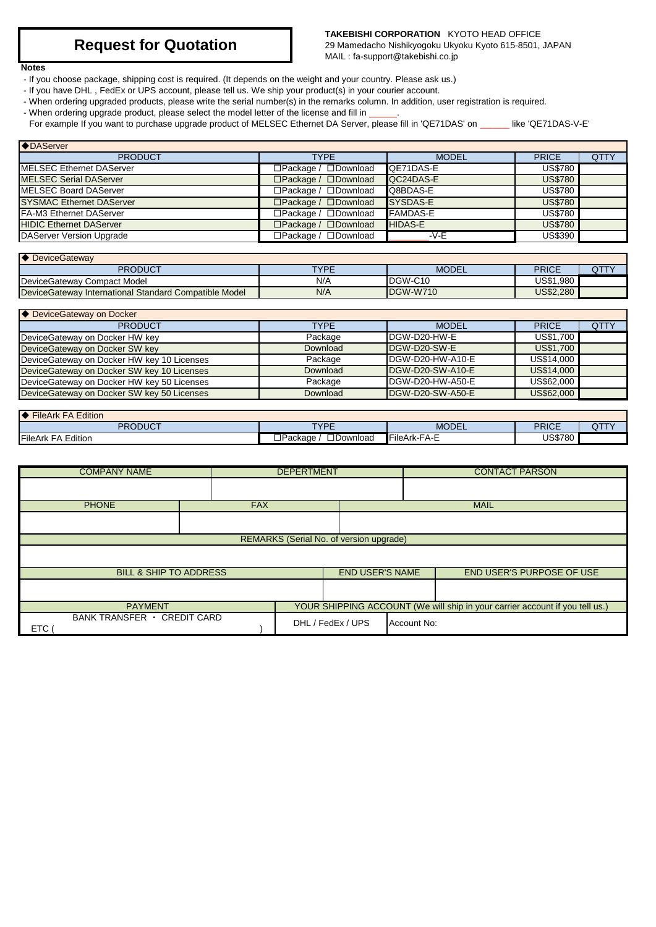### **TAKEBISHI CORPORATION** KYOTO HEAD OFFICE

29 Mamedacho Nishikyogoku Ukyoku Kyoto 615-8501, JAPAN MAIL : fa-support@takebishi.co.jp

### **Notes**

- If you choose package, shipping cost is required. (It depends on the weight and your country. Please ask us.)
- If you have DHL , FedEx or UPS account, please tell us. We ship your product(s) in your courier account.
- When ordering upgraded products, please write the serial number(s) in the remarks column. In addition, user registration is required.
- When ordering upgrade product, please select the model letter of the license and fill in \_\_\_\_\_.

For example If you want to purchase upgrade product of MELSEC Ethernet DA Server, please fill in 'QE71DAS' on \_\_\_\_\_\_ like 'QE71DAS-V-E'

| <b>◆DAServer</b>                |                                  |                  |                |             |  |  |
|---------------------------------|----------------------------------|------------------|----------------|-------------|--|--|
| <b>PRODUCT</b>                  | <b>TYPF</b>                      | <b>MODEL</b>     | <b>PRICE</b>   | <b>QTTY</b> |  |  |
| MELSEC Ethernet DAServer        | $\Box$ Package / $\Box$ Download | <b>QE71DAS-E</b> | <b>US\$780</b> |             |  |  |
| MELSEC Serial DAServer          | $\Box$ Package / $\Box$ Download | <b>QC24DAS-E</b> | <b>US\$780</b> |             |  |  |
| MELSEC Board DAServer           | $\Box$ Package / $\Box$ Download | Q8BDAS-E         | <b>US\$780</b> |             |  |  |
| <b>SYSMAC Ethernet DAServer</b> | $\Box$ Package / $\Box$ Download | <b>SYSDAS-E</b>  | <b>US\$780</b> |             |  |  |
| FA-M3 Ethernet DAServer         | $\Box$ Package / $\Box$ Download | <b>FAMDAS-E</b>  | US\$780        |             |  |  |
| <b>HIDIC Ethernet DAServer</b>  | $\Box$ Package / $\Box$ Download | <b>HIDAS-E</b>   | <b>US\$780</b> |             |  |  |
| DAServer Version Upgrade        | $\Box$ Package / $\Box$ Download | -V-E             | US\$390        |             |  |  |

| <b>▶ DeviceGateway</b>                                |      |              |              |  |
|-------------------------------------------------------|------|--------------|--------------|--|
| PRODUCT                                               | TYPE | <b>MODEL</b> | <b>PRICE</b> |  |
| DeviceGateway Compact Model                           | N/A  | IDGW-C10     | US\$1.980    |  |
| DeviceGateway International Standard Compatible Model | N/A  | DGW-W710     | US\$2,280    |  |

| ◆ DeviceGateway on Docker                   |             |                          |              |             |  |  |
|---------------------------------------------|-------------|--------------------------|--------------|-------------|--|--|
| <b>PRODUCT</b>                              | <b>TYPE</b> | <b>MODEL</b>             | <b>PRICE</b> | <b>QTTY</b> |  |  |
| DeviceGateway on Docker HW key              | Package     | DGW-D20-HW-E             | US\$1,700    |             |  |  |
| DeviceGateway on Docker SW key              | Download    | <b>IDGW-D20-SW-E</b>     | US\$1,700    |             |  |  |
| Device Gateway on Docker HW key 10 Licenses | Package     | DGW-D20-HW-A10-E         | US\$14,000   |             |  |  |
| DeviceGateway on Docker SW key 10 Licenses  | Download    | DGW-D20-SW-A10-E         | US\$14,000   |             |  |  |
| Device Gateway on Docker HW key 50 Licenses | Package     | DGW-D20-HW-A50-E         | US\$62,000   |             |  |  |
| Device Gateway on Docker SW key 50 Licenses | Download    | <b>IDGW-D20-SW-A50-E</b> | US\$62,000   |             |  |  |

| <b>FileArk FA Edition</b>    |                                     |              |                          |   |
|------------------------------|-------------------------------------|--------------|--------------------------|---|
| <b>PRODUCT</b>               | <b>TVDE</b>                         | MODEL        | <b>PRICE</b>             | u |
| <b>FileArk FA</b><br>Edition | □Download<br>'ackaɑe<br>∍ הפ⊌ו<br>– | FileArk-FA-E | <b>JS\$780</b><br>. . ou |   |

| <b>COMPANY NAME</b>                       |                                   | <b>DEPERTMENT</b> |  | <b>CONTACT PARSON</b>                   |             |                                                                              |
|-------------------------------------------|-----------------------------------|-------------------|--|-----------------------------------------|-------------|------------------------------------------------------------------------------|
|                                           |                                   |                   |  |                                         |             |                                                                              |
| <b>PHONE</b>                              |                                   | <b>FAX</b>        |  |                                         |             | <b>MAIL</b>                                                                  |
|                                           |                                   |                   |  |                                         |             |                                                                              |
|                                           |                                   |                   |  | REMARKS (Serial No. of version upgrade) |             |                                                                              |
|                                           |                                   |                   |  |                                         |             |                                                                              |
|                                           | <b>BILL &amp; SHIP TO ADDRESS</b> |                   |  | <b>END USER'S NAME</b>                  |             | <b>END USER'S PURPOSE OF USE</b>                                             |
|                                           |                                   |                   |  |                                         |             |                                                                              |
| <b>PAYMENT</b>                            |                                   |                   |  |                                         |             | YOUR SHIPPING ACCOUNT (We will ship in your carrier account if you tell us.) |
| BANK TRANSFER · CREDIT CARD<br><b>ETC</b> |                                   |                   |  | DHL / FedEx / UPS                       | Account No: |                                                                              |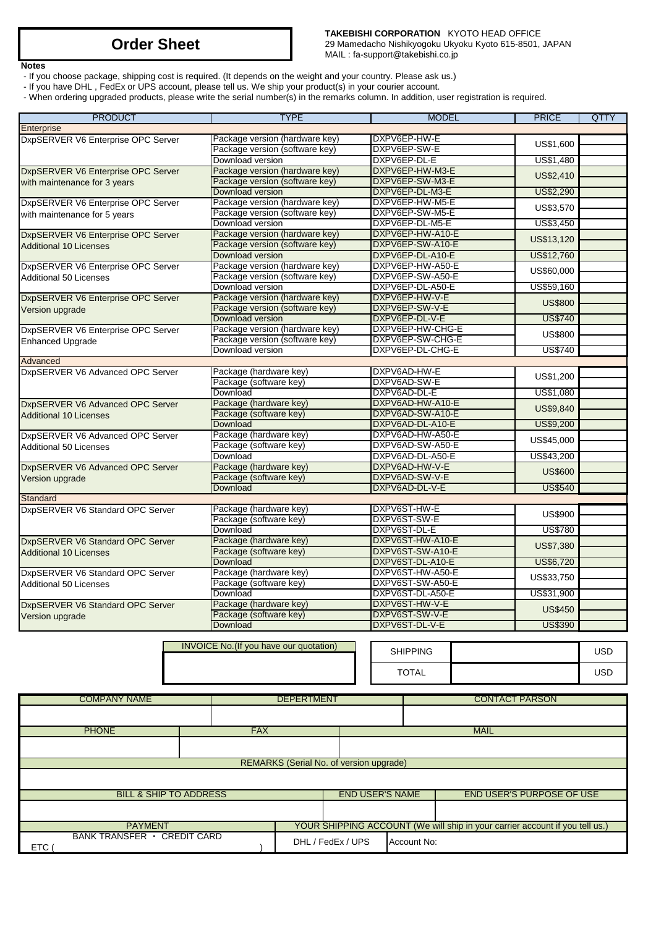**Notes**

**TAKEBISHI CORPORATION** KYOTO HEAD OFFICE 29 Mamedacho Nishikyogoku Ukyoku Kyoto 615-8501, JAPAN MAIL : fa-support@takebishi.co.jp

- If you choose package, shipping cost is required. (It depends on the weight and your country. Please ask us.)

- If you have DHL , FedEx or UPS account, please tell us. We ship your product(s) in your courier account.

- When ordering upgraded products, please write the serial number(s) in the remarks column. In addition, user registration is required.

| <b>PRODUCT</b>                     |                                        | <b>TYPE</b>                                                      |                        | <b>MODEL</b>                         |             | <b>PRICE</b>                                                                 | <b>QTTY</b> |
|------------------------------------|----------------------------------------|------------------------------------------------------------------|------------------------|--------------------------------------|-------------|------------------------------------------------------------------------------|-------------|
| Enterprise                         |                                        |                                                                  |                        |                                      |             |                                                                              |             |
| DxpSERVER V6 Enterprise OPC Server |                                        | Package version (hardware key)                                   |                        | DXPV6EP-HW-E                         |             | US\$1,600                                                                    |             |
|                                    | Package version (software key)         |                                                                  |                        | DXPV6EP-SW-E                         |             |                                                                              |             |
|                                    | Download version                       |                                                                  |                        | DXPV6EP-DL-E                         |             | US\$1,480                                                                    |             |
| DxpSERVER V6 Enterprise OPC Server |                                        | Package version (hardware key)                                   |                        | DXPV6EP-HW-M3-E                      |             | US\$2,410                                                                    |             |
| with maintenance for 3 years       |                                        | Package version (software key)                                   |                        | DXPV6EP-SW-M3-E                      |             |                                                                              |             |
|                                    | Download version                       |                                                                  |                        | DXPV6EP-DL-M3-E                      |             | US\$2,290                                                                    |             |
| DxpSERVER V6 Enterprise OPC Server |                                        | Package version (hardware key)<br>Package version (software key) |                        | DXPV6EP-HW-M5-E<br>DXPV6EP-SW-M5-E   |             | US\$3,570                                                                    |             |
| with maintenance for 5 years       | Download version                       |                                                                  |                        | DXPV6EP-DL-M5-E                      |             | US\$3,450                                                                    |             |
| DxpSERVER V6 Enterprise OPC Server |                                        | Package version (hardware key)                                   |                        | DXPV6EP-HW-A10-E                     |             |                                                                              |             |
| <b>Additional 10 Licenses</b>      | Package version (software key)         |                                                                  |                        | DXPV6EP-SW-A10-E                     |             | US\$13,120                                                                   |             |
|                                    | Download version                       |                                                                  |                        | DXPV6EP-DL-A10-E                     |             | US\$12,760                                                                   |             |
| DxpSERVER V6 Enterprise OPC Server |                                        | Package version (hardware key)                                   |                        | DXPV6EP-HW-A50-E                     |             |                                                                              |             |
| Additional 50 Licenses             | Package version (software key)         |                                                                  |                        | DXPV6EP-SW-A50-E                     |             | US\$60,000                                                                   |             |
|                                    | Download version                       |                                                                  |                        | DXPV6EP-DL-A50-E                     |             | US\$59,160                                                                   |             |
| DxpSERVER V6 Enterprise OPC Server |                                        | Package version (hardware key)                                   |                        | DXPV6EP-HW-V-E                       |             |                                                                              |             |
| Version upgrade                    | Package version (software key)         |                                                                  |                        | DXPV6EP-SW-V-E                       |             | <b>US\$800</b>                                                               |             |
|                                    | Download version                       |                                                                  |                        | DXPV6EP-DL-V-E                       |             | <b>US\$740</b>                                                               |             |
| DxpSERVER V6 Enterprise OPC Server |                                        | Package version (hardware key)                                   |                        | DXPV6EP-HW-CHG-E                     |             | <b>US\$800</b>                                                               |             |
| <b>Enhanced Upgrade</b>            | Package version (software key)         |                                                                  |                        | DXPV6EP-SW-CHG-E                     |             |                                                                              |             |
|                                    | Download version                       |                                                                  |                        | DXPV6EP-DL-CHG-E                     |             | <b>US\$740</b>                                                               |             |
| Advanced                           |                                        |                                                                  |                        |                                      |             |                                                                              |             |
| DxpSERVER V6 Advanced OPC Server   | Package (hardware key)                 |                                                                  |                        | DXPV6AD-HW-E                         |             | US\$1,200                                                                    |             |
|                                    | Package (software key)                 |                                                                  |                        | DXPV6AD-SW-E                         |             |                                                                              |             |
|                                    | Download                               |                                                                  |                        | DXPV6AD-DL-E                         |             | US\$1,080                                                                    |             |
| DxpSERVER V6 Advanced OPC Server   | Package (hardware key)                 |                                                                  |                        | DXPV6AD-HW-A10-E                     |             | US\$9,840                                                                    |             |
| <b>Additional 10 Licenses</b>      | Package (software key)                 |                                                                  |                        | DXPV6AD-SW-A10-E                     |             |                                                                              |             |
|                                    | Download                               |                                                                  |                        | DXPV6AD-DL-A10-E                     |             | US\$9,200                                                                    |             |
| DxpSERVER V6 Advanced OPC Server   |                                        | Package (hardware key)                                           |                        | DXPV6AD-HW-A50-E                     |             | US\$45,000                                                                   |             |
| <b>Additional 50 Licenses</b>      |                                        | Package (software key)                                           |                        | DXPV6AD-SW-A50-E<br>DXPV6AD-DL-A50-E |             |                                                                              |             |
|                                    | Download<br>Package (hardware key)     |                                                                  |                        | DXPV6AD-HW-V-E                       |             | US\$43,200                                                                   |             |
| DxpSERVER V6 Advanced OPC Server   | Package (software key)                 |                                                                  |                        | DXPV6AD-SW-V-E                       |             | <b>US\$600</b>                                                               |             |
| Version upgrade                    | Download                               |                                                                  |                        | DXPV6AD-DL-V-E                       |             | <b>US\$540</b>                                                               |             |
| Standard                           |                                        |                                                                  |                        |                                      |             |                                                                              |             |
| DxpSERVER V6 Standard OPC Server   | Package (hardware key)                 |                                                                  |                        | DXPV6ST-HW-E                         |             |                                                                              |             |
|                                    | Package (software key)                 |                                                                  |                        | DXPV6ST-SW-E                         |             | US\$900                                                                      |             |
|                                    | Download                               |                                                                  |                        | DXPV6ST-DL-E                         |             | <b>US\$780</b>                                                               |             |
| DxpSERVER V6 Standard OPC Server   | Package (hardware key)                 |                                                                  |                        | DXPV6ST-HW-A10-E                     |             |                                                                              |             |
| <b>Additional 10 Licenses</b>      | Package (software key)                 |                                                                  |                        | DXPV6ST-SW-A10-E                     |             | US\$7,380                                                                    |             |
|                                    | Download                               |                                                                  |                        | DXPV6ST-DL-A10-E                     |             | US\$6,720                                                                    |             |
| DxpSERVER V6 Standard OPC Server   | Package (hardware key)                 |                                                                  |                        | DXPV6ST-HW-A50-E                     |             | US\$33,750                                                                   |             |
| Additional 50 Licenses             | Package (software key)                 |                                                                  |                        | DXPV6ST-SW-A50-E                     |             |                                                                              |             |
|                                    | Download                               |                                                                  |                        | DXPV6ST-DL-A50-E                     |             | US\$31,900                                                                   |             |
| DxpSERVER V6 Standard OPC Server   | Package (hardware key)                 |                                                                  |                        | DXPV6ST-HW-V-E                       |             | <b>US\$450</b>                                                               |             |
| Version upgrade                    | Package (software key)                 |                                                                  |                        | DXPV6ST-SW-V-E                       |             |                                                                              |             |
|                                    | Download                               |                                                                  |                        | DXPV6ST-DL-V-E                       |             | <b>US\$390</b>                                                               |             |
|                                    |                                        |                                                                  |                        |                                      |             |                                                                              |             |
|                                    | INVOICE No.(If you have our quotation) |                                                                  |                        | <b>SHIPPING</b>                      |             |                                                                              | <b>USD</b>  |
|                                    |                                        |                                                                  |                        |                                      |             |                                                                              |             |
|                                    |                                        |                                                                  |                        | <b>TOTAL</b>                         |             |                                                                              | USD         |
|                                    |                                        |                                                                  |                        |                                      |             |                                                                              |             |
| <b>COMPANY NAME</b>                |                                        | <b>DEPERTMENT</b>                                                |                        |                                      |             | <b>CONTACT PARSON</b>                                                        |             |
|                                    |                                        |                                                                  |                        |                                      |             |                                                                              |             |
|                                    |                                        |                                                                  |                        |                                      |             |                                                                              |             |
| <b>PHONE</b>                       | <b>FAX</b>                             |                                                                  |                        |                                      | <b>MAIL</b> |                                                                              |             |
|                                    |                                        |                                                                  |                        |                                      |             |                                                                              |             |
|                                    |                                        |                                                                  |                        |                                      |             |                                                                              |             |
|                                    |                                        | REMARKS (Serial No. of version upgrade)                          |                        |                                      |             |                                                                              |             |
|                                    |                                        |                                                                  |                        |                                      |             |                                                                              |             |
|                                    |                                        |                                                                  |                        |                                      |             |                                                                              |             |
| <b>BILL &amp; SHIP TO ADDRESS</b>  |                                        |                                                                  | <b>END USER'S NAME</b> |                                      |             | <b>END USER'S PURPOSE OF USE</b>                                             |             |
|                                    |                                        |                                                                  |                        |                                      |             |                                                                              |             |
|                                    |                                        |                                                                  |                        |                                      |             |                                                                              |             |
| <b>PAYMENT</b>                     |                                        |                                                                  |                        |                                      |             | YOUR SHIPPING ACCOUNT (We will ship in your carrier account if you tell us.) |             |
| BANK TRANSFER · CREDIT CARD        |                                        | DHL / FedEx / UPS                                                |                        | Account No:                          |             |                                                                              |             |
| ETC (                              |                                        |                                                                  |                        |                                      |             |                                                                              |             |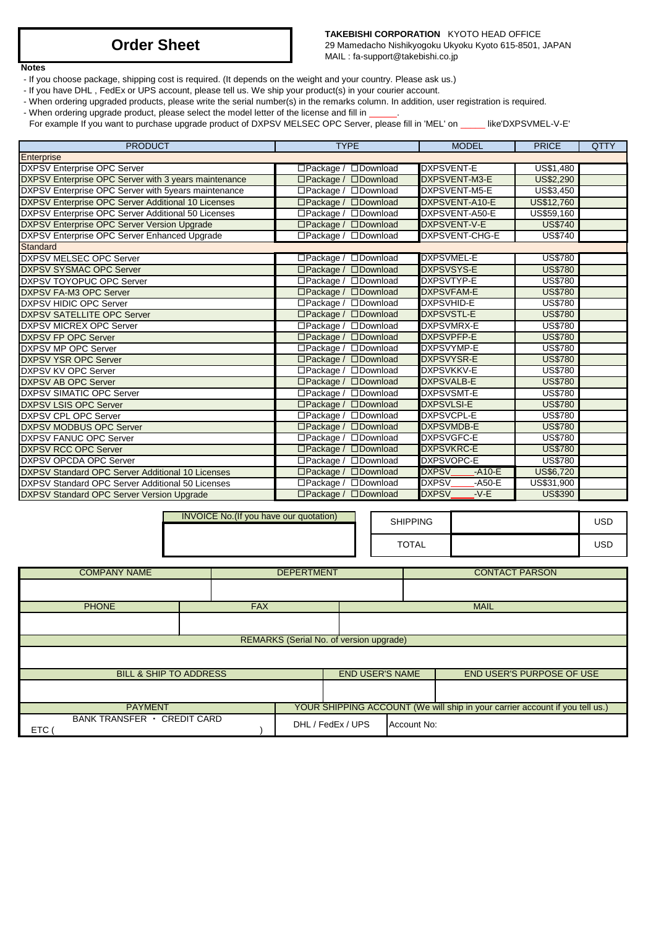### **TAKEBISHI CORPORATION** KYOTO HEAD OFFICE

29 Mamedacho Nishikyogoku Ukyoku Kyoto 615-8501, JAPAN MAIL : fa-support@takebishi.co.jp

### **Notes**

- If you choose package, shipping cost is required. (It depends on the weight and your country. Please ask us.)
- If you have DHL , FedEx or UPS account, please tell us. We ship your product(s) in your courier account.
- When ordering upgraded products, please write the serial number(s) in the remarks column. In addition, user registration is required.
- When ordering upgrade product, please select the model letter of the license and fill in \_\_\_\_\_.

For example If you want to purchase upgrade product of DXPSV MELSEC OPC Server, please fill in 'MEL' on \_\_\_\_\_ like'DXPSVMEL-V-E'

| <b>PRODUCT</b>                                          | <b>TYPE</b>                            | <b>MODEL</b>                 | <b>PRICE</b>   | <b>QTTY</b> |
|---------------------------------------------------------|----------------------------------------|------------------------------|----------------|-------------|
| Enterprise                                              |                                        |                              |                |             |
| <b>DXPSV Enterprise OPC Server</b>                      | □Download<br>□Package /                | <b>DXPSVENT-E</b>            | US\$1,480      |             |
| DXPSV Enterprise OPC Server with 3 years maintenance    | □Download<br>$\Box$ Package /          | DXPSVENT-M3-E                | US\$2,290      |             |
| DXPSV Enterprise OPC Server with 5years maintenance     | □Package / □Download                   | DXPSVENT-M5-E                | US\$3,450      |             |
| DXPSV Enterprise OPC Server Additional 10 Licenses      | □Package / □Download                   | DXPSVENT-A10-E               | US\$12,760     |             |
| DXPSV Enterprise OPC Server Additional 50 Licenses      | $\Box$ Package /<br><b>Download</b>    | DXPSVENT-A50-E               | US\$59,160     |             |
| <b>DXPSV Enterprise OPC Server Version Upgrade</b>      | <b>ODownload</b><br>$\Box$ Package /   | DXPSVENT-V-E                 | <b>US\$740</b> |             |
| DXPSV Enterprise OPC Server Enhanced Upgrade            | □Package / □Download                   | DXPSVENT-CHG-E               | <b>US\$740</b> |             |
| Standard                                                |                                        |                              |                |             |
| <b>DXPSV MELSEC OPC Server</b>                          | □Package / □Download                   | <b>DXPSVMEL-E</b>            | <b>US\$780</b> |             |
| <b>DXPSV SYSMAC OPC Server</b>                          | □Package / □Download                   | <b>DXPSVSYS-E</b>            | <b>US\$780</b> |             |
| DXPSV TOYOPUC OPC Server                                | □Package / □Download                   | DXPSVTYP-E                   | <b>US\$780</b> |             |
| DXPSV FA-M3 OPC Server                                  | □Package / □Download                   | <b>DXPSVFAM-E</b>            | <b>US\$780</b> |             |
| <b>DXPSV HIDIC OPC Server</b>                           | □Package / □Download                   | <b>DXPSVHID-E</b>            | <b>US\$780</b> |             |
| <b>DXPSV SATELLITE OPC Server</b>                       | □Package / □Download                   | <b>DXPSVSTL-E</b>            | <b>US\$780</b> |             |
| <b>DXPSV MICREX OPC Server</b>                          | $\Box$ Package /<br>□Download          | <b>DXPSVMRX-E</b>            | <b>US\$780</b> |             |
| <b>DXPSV FP OPC Server</b>                              | □Package / □Download                   | <b>DXPSVPFP-E</b>            | <b>US\$780</b> |             |
| <b>DXPSV MP OPC Server</b>                              | □Package / □Download                   | <b>DXPSVYMP-E</b>            | <b>US\$780</b> |             |
| <b>DXPSV YSR OPC Server</b>                             | $\Box$ Package /<br>$\square$ Download | <b>DXPSVYSR-E</b>            | <b>US\$780</b> |             |
| <b>DXPSV KV OPC Server</b>                              | □Package / □Download                   | <b>DXPSVKKV-E</b>            | <b>US\$780</b> |             |
| <b>DXPSV AB OPC Server</b>                              | □Package / □Download                   | <b>DXPSVALB-E</b>            | <b>US\$780</b> |             |
| <b>DXPSV SIMATIC OPC Server</b>                         | $\Box$ Package /<br>□Download          | <b>DXPSVSMT-E</b>            | <b>US\$780</b> |             |
| <b>DXPSV LSIS OPC Server</b>                            | □Package / □Download                   | <b>DXPSVLSI-E</b>            | <b>US\$780</b> |             |
| <b>DXPSV CPL OPC Server</b>                             | □Package / □Download                   | <b>DXPSVCPL-E</b>            | <b>US\$780</b> |             |
| <b>DXPSV MODBUS OPC Server</b>                          | □Package / □Download                   | <b>DXPSVMDB-E</b>            | <b>US\$780</b> |             |
| <b>DXPSV FANUC OPC Server</b>                           | □Package / □Download                   | <b>DXPSVGFC-E</b>            | <b>US\$780</b> |             |
| <b>DXPSV RCC OPC Server</b>                             | $\Box$ Package /<br>$\square$ Download | <b>DXPSVKRC-E</b>            | <b>US\$780</b> |             |
| <b>DXPSV OPCDA OPC Server</b>                           | □Package / □Download                   | <b>DXPSVOPC-E</b>            | <b>US\$780</b> |             |
| <b>DXPSV Standard OPC Server Additional 10 Licenses</b> | □Download<br>□Package /                | <b>DXPSV</b><br>$-A10-E$     | US\$6,720      |             |
| DXPSV Standard OPC Server Additional 50 Licenses        | □Package /<br>□Download                | <b>DXPSV</b><br>$-$ A50 $-E$ | US\$31,900     |             |
| <b>DXPSV Standard OPC Server Version Upgrade</b>        | □Package / □Download                   | <b>DXPSV</b><br>$-V-E$       | <b>US\$390</b> |             |

| <b>SHIPPING</b> | USD |
|-----------------|-----|
| TOTAL           | USD |

| <b>COMPANY NAME</b>                |                                   | <b>DEPERTMENT</b> |                                         | <b>CONTACT PARSON</b> |                                                                              |  |
|------------------------------------|-----------------------------------|-------------------|-----------------------------------------|-----------------------|------------------------------------------------------------------------------|--|
|                                    |                                   |                   |                                         |                       |                                                                              |  |
| <b>PHONE</b>                       | <b>FAX</b>                        |                   |                                         |                       | <b>MAIL</b>                                                                  |  |
|                                    |                                   |                   |                                         |                       |                                                                              |  |
|                                    |                                   |                   | REMARKS (Serial No. of version upgrade) |                       |                                                                              |  |
|                                    |                                   |                   |                                         |                       |                                                                              |  |
|                                    | <b>BILL &amp; SHIP TO ADDRESS</b> |                   | <b>END USER'S NAME</b>                  |                       | <b>END USER'S PURPOSE OF USE</b>                                             |  |
|                                    |                                   |                   |                                         |                       |                                                                              |  |
| <b>PAYMENT</b>                     |                                   |                   |                                         |                       | YOUR SHIPPING ACCOUNT (We will ship in your carrier account if you tell us.) |  |
| BANK TRANSFER · CREDIT CARD<br>ETC |                                   |                   | DHL / FedEx / UPS                       | Account No:           |                                                                              |  |

INVOICE No.(If you have our quotation)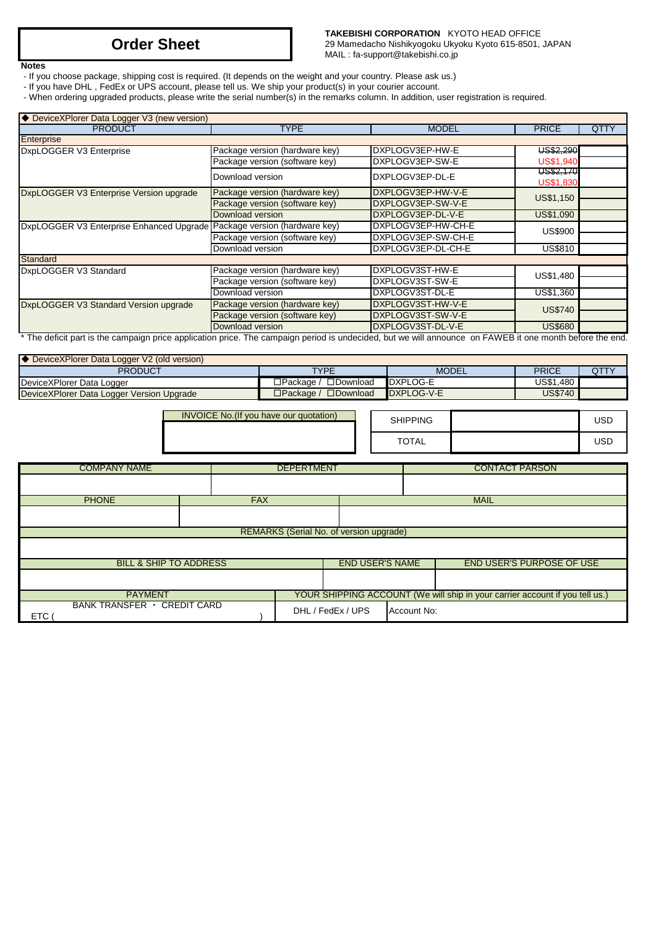**TAKEBISHI CORPORATION** KYOTO HEAD OFFICE 29 Mamedacho Nishikyogoku Ukyoku Kyoto 615-8501, JAPAN MAIL : fa-support@takebishi.co.jp

**Notes**

- If you choose package, shipping cost is required. (It depends on the weight and your country. Please ask us.)
- If you have DHL , FedEx or UPS account, please tell us. We ship your product(s) in your courier account.
- When ordering upgraded products, please write the serial number(s) in the remarks column. In addition, user registration is required.

| ◆ DeviceXPlorer Data Logger V3 (new version)                            |                                |                    |                                                                                                                                         |             |
|-------------------------------------------------------------------------|--------------------------------|--------------------|-----------------------------------------------------------------------------------------------------------------------------------------|-------------|
| <b>PRODUCT</b>                                                          | <b>TYPE</b>                    | <b>MODEL</b>       | <b>PRICE</b>                                                                                                                            | <b>QTTY</b> |
| Enterprise                                                              |                                |                    |                                                                                                                                         |             |
| DxpLOGGER V3 Enterprise                                                 | Package version (hardware key) | DXPLOGV3EP-HW-E    |                                                                                                                                         |             |
|                                                                         | Package version (software key) | DXPLOGV3EP-SW-E    |                                                                                                                                         |             |
|                                                                         | Download version               | DXPLOGV3EP-DL-E    |                                                                                                                                         |             |
| DxpLOGGER V3 Enterprise Version upgrade                                 | Package version (hardware key) | DXPLOGV3EP-HW-V-E  |                                                                                                                                         |             |
|                                                                         | Package version (software key) | DXPLOGV3EP-SW-V-E  |                                                                                                                                         |             |
|                                                                         | Download version               | DXPLOGV3EP-DL-V-E  | US\$1,090                                                                                                                               |             |
| DxpLOGGER V3 Enterprise Enhanced Upgrade Package version (hardware key) |                                | DXPLOGV3EP-HW-CH-E |                                                                                                                                         |             |
|                                                                         | Package version (software key) | DXPLOGV3EP-SW-CH-E |                                                                                                                                         |             |
|                                                                         | Download version               | DXPLOGV3EP-DL-CH-E | <b>US\$810</b>                                                                                                                          |             |
| <b>Standard</b>                                                         |                                |                    |                                                                                                                                         |             |
| DxpLOGGER V3 Standard                                                   | Package version (hardware key) | DXPLOGV3ST-HW-E    |                                                                                                                                         |             |
|                                                                         | Package version (software key) | DXPLOGV3ST-SW-E    |                                                                                                                                         |             |
|                                                                         | Download version               | DXPLOGV3ST-DL-E    | US\$1,360                                                                                                                               |             |
| DxpLOGGER V3 Standard Version upgrade                                   | Package version (hardware key) | DXPLOGV3ST-HW-V-E  |                                                                                                                                         |             |
|                                                                         | Package version (software key) | DXPLOGV3ST-SW-V-E  | US\$2,290<br><b>US\$1,940</b><br>US\$2,170<br><b>US\$1,830</b><br>US\$1,150<br>US\$900<br>US\$1,480<br><b>US\$740</b><br><b>US\$680</b> |             |
|                                                                         | Download version               | DXPLOGV3ST-DL-V-E  |                                                                                                                                         |             |

\* The deficit part is the campaign price application price. The campaign period is undecided, but we will announce on FAWEB it one month before the end.

| ◆ DeviceXPlorer Data Logger V2 (old version) |                                        |              |              |      |
|----------------------------------------------|----------------------------------------|--------------|--------------|------|
| <b>PRODUCT</b>                               | <b>TYPE</b>                            | <b>MODEL</b> | <b>PRICE</b> | QTTY |
| DeviceXPlorer Data Logger                    | $\square$ Download<br>コPackaαe /       | DXPLOG-E     | US\$1.480 I  |      |
| DeviceXPlorer Data Logger Version Upgrade    | $\square$ Download<br>$\Box$ Packaɑe / | DXPLOG-V-E   | US\$740      |      |

| <b>INVOICE No. (If you have our quotation)</b> | <b>SHIPPING</b> |  |
|------------------------------------------------|-----------------|--|
|                                                | TOTAL           |  |

| <b>COMPANY NAME</b>                       |            | <b>DEPERTMENT</b> |                        | <b>CONTACT PARSON</b> |                                                                              |  |
|-------------------------------------------|------------|-------------------|------------------------|-----------------------|------------------------------------------------------------------------------|--|
|                                           |            |                   |                        |                       |                                                                              |  |
| <b>PHONE</b>                              | <b>FAX</b> |                   |                        |                       | <b>MAIL</b>                                                                  |  |
|                                           |            |                   |                        |                       |                                                                              |  |
| REMARKS (Serial No. of version upgrade)   |            |                   |                        |                       |                                                                              |  |
|                                           |            |                   |                        |                       |                                                                              |  |
| <b>BILL &amp; SHIP TO ADDRESS</b>         |            |                   | <b>END USER'S NAME</b> |                       | <b>END USER'S PURPOSE OF USE</b>                                             |  |
|                                           |            |                   |                        |                       |                                                                              |  |
| <b>PAYMENT</b>                            |            |                   |                        |                       | YOUR SHIPPING ACCOUNT (We will ship in your carrier account if you tell us.) |  |
| BANK TRANSFER · CREDIT CARD<br><b>ETC</b> |            |                   | DHL / FedEx / UPS      | Account No:           |                                                                              |  |